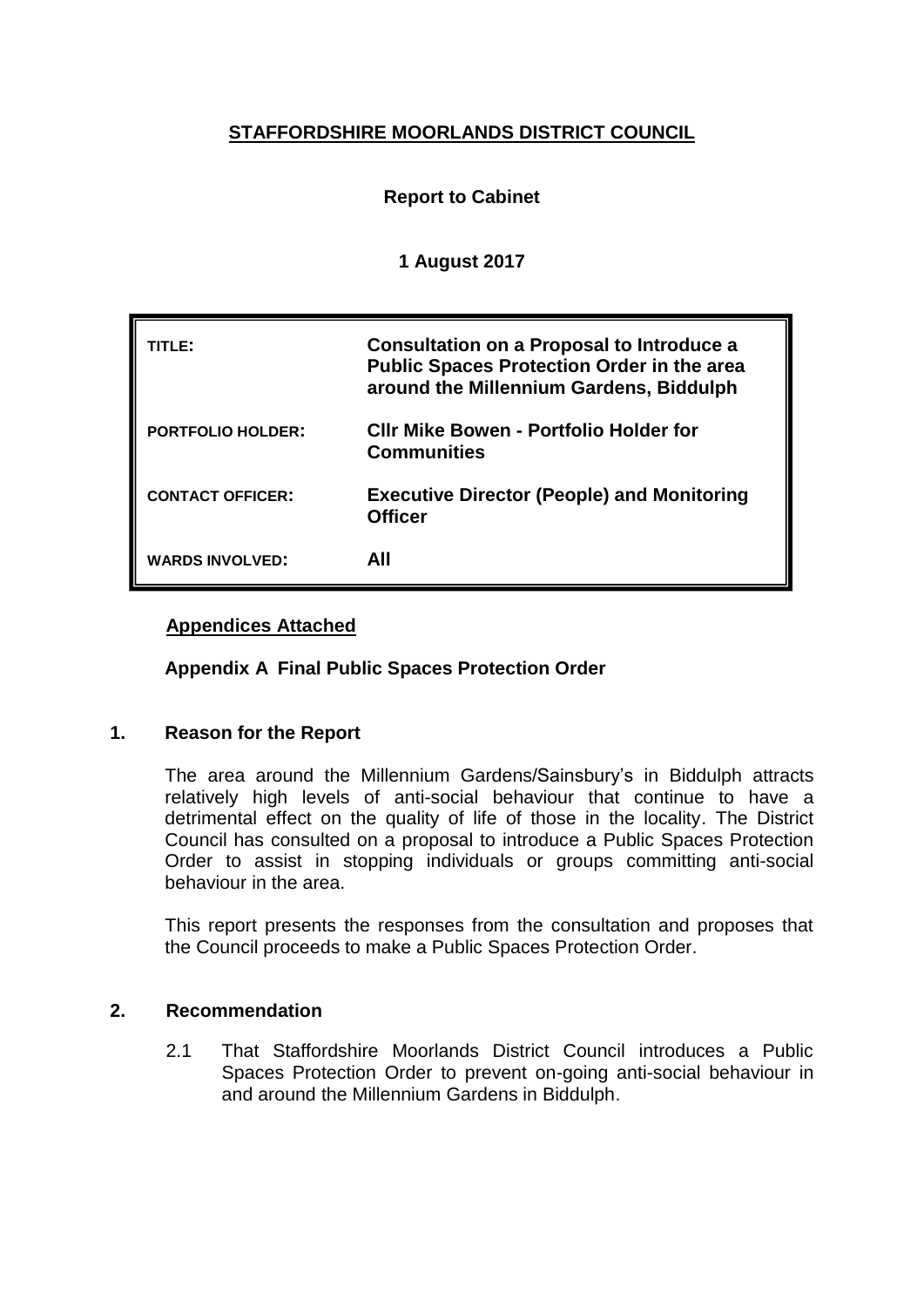## **STAFFORDSHIRE MOORLANDS DISTRICT COUNCIL**

## **Report to Cabinet**

### **1 August 2017**

| TITLE:                   | <b>Consultation on a Proposal to Introduce a</b><br><b>Public Spaces Protection Order in the area</b><br>around the Millennium Gardens, Biddulph |
|--------------------------|--------------------------------------------------------------------------------------------------------------------------------------------------|
| <b>PORTFOLIO HOLDER:</b> | <b>CIIr Mike Bowen - Portfolio Holder for</b><br><b>Communities</b>                                                                              |
| <b>CONTACT OFFICER:</b>  | <b>Executive Director (People) and Monitoring</b><br><b>Officer</b>                                                                              |
| <b>WARDS INVOLVED:</b>   | All                                                                                                                                              |

### **Appendices Attached**

**Appendix A Final Public Spaces Protection Order**

### **1. Reason for the Report**

The area around the Millennium Gardens/Sainsbury's in Biddulph attracts relatively high levels of anti-social behaviour that continue to have a detrimental effect on the quality of life of those in the locality. The District Council has consulted on a proposal to introduce a Public Spaces Protection Order to assist in stopping individuals or groups committing anti-social behaviour in the area.

This report presents the responses from the consultation and proposes that the Council proceeds to make a Public Spaces Protection Order.

### **2. Recommendation**

2.1 That Staffordshire Moorlands District Council introduces a Public Spaces Protection Order to prevent on-going anti-social behaviour in and around the Millennium Gardens in Biddulph.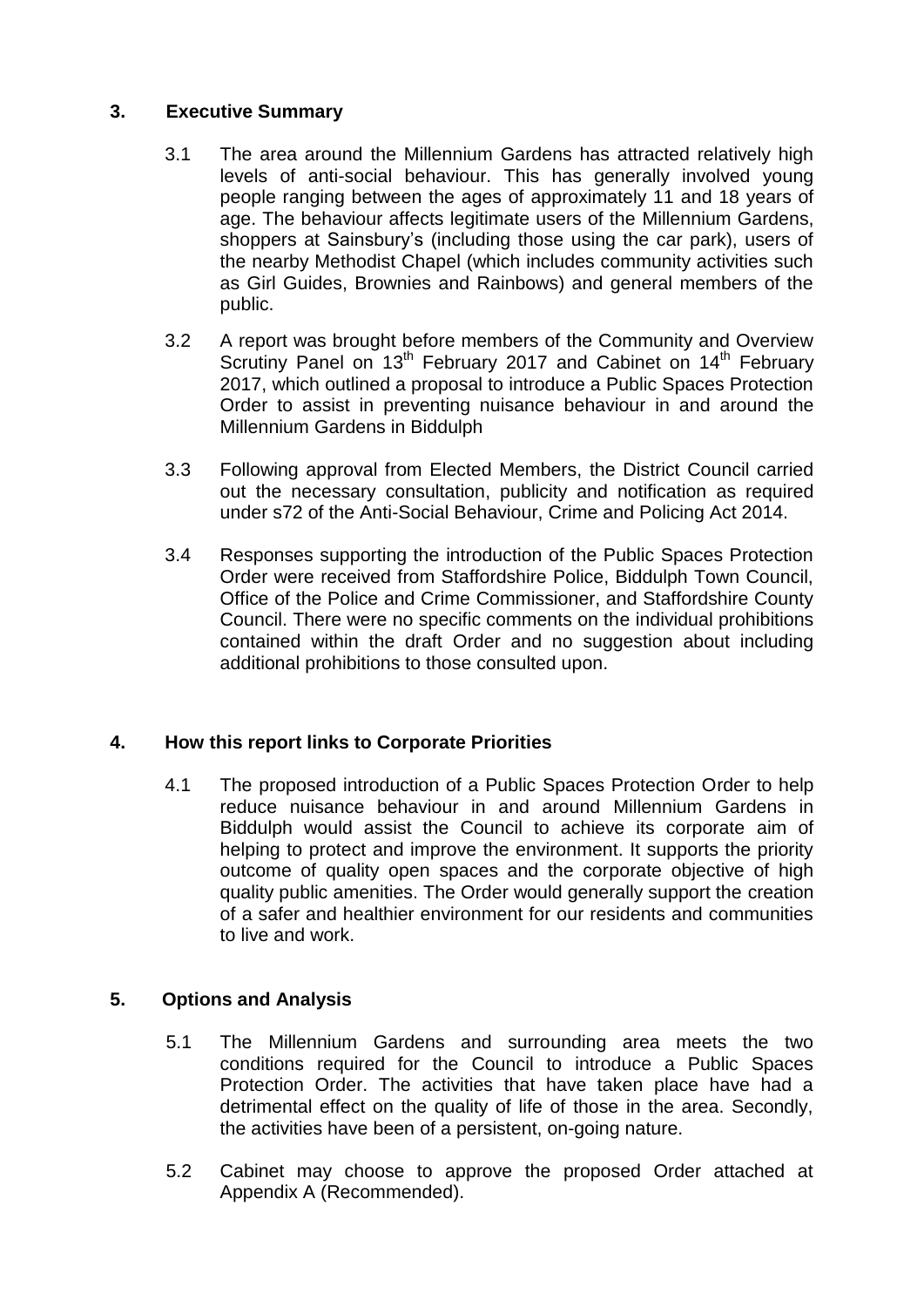### **3. Executive Summary**

- 3.1 The area around the Millennium Gardens has attracted relatively high levels of anti-social behaviour. This has generally involved young people ranging between the ages of approximately 11 and 18 years of age. The behaviour affects legitimate users of the Millennium Gardens, shoppers at Sainsbury's (including those using the car park), users of the nearby Methodist Chapel (which includes community activities such as Girl Guides, Brownies and Rainbows) and general members of the public.
- 3.2 A report was brought before members of the Community and Overview Scrutiny Panel on 13<sup>th</sup> February 2017 and Cabinet on 14<sup>th</sup> February 2017, which outlined a proposal to introduce a Public Spaces Protection Order to assist in preventing nuisance behaviour in and around the Millennium Gardens in Biddulph
- 3.3 Following approval from Elected Members, the District Council carried out the necessary consultation, publicity and notification as required under s72 of the Anti-Social Behaviour, Crime and Policing Act 2014.
- 3.4 Responses supporting the introduction of the Public Spaces Protection Order were received from Staffordshire Police, Biddulph Town Council, Office of the Police and Crime Commissioner, and Staffordshire County Council. There were no specific comments on the individual prohibitions contained within the draft Order and no suggestion about including additional prohibitions to those consulted upon.

## **4. How this report links to Corporate Priorities**

4.1 The proposed introduction of a Public Spaces Protection Order to help reduce nuisance behaviour in and around Millennium Gardens in Biddulph would assist the Council to achieve its corporate aim of helping to protect and improve the environment. It supports the priority outcome of quality open spaces and the corporate objective of high quality public amenities. The Order would generally support the creation of a safer and healthier environment for our residents and communities to live and work.

## **5. Options and Analysis**

- 5.1 The Millennium Gardens and surrounding area meets the two conditions required for the Council to introduce a Public Spaces Protection Order. The activities that have taken place have had a detrimental effect on the quality of life of those in the area. Secondly, the activities have been of a persistent, on-going nature.
- 5.2 Cabinet may choose to approve the proposed Order attached at Appendix A (Recommended).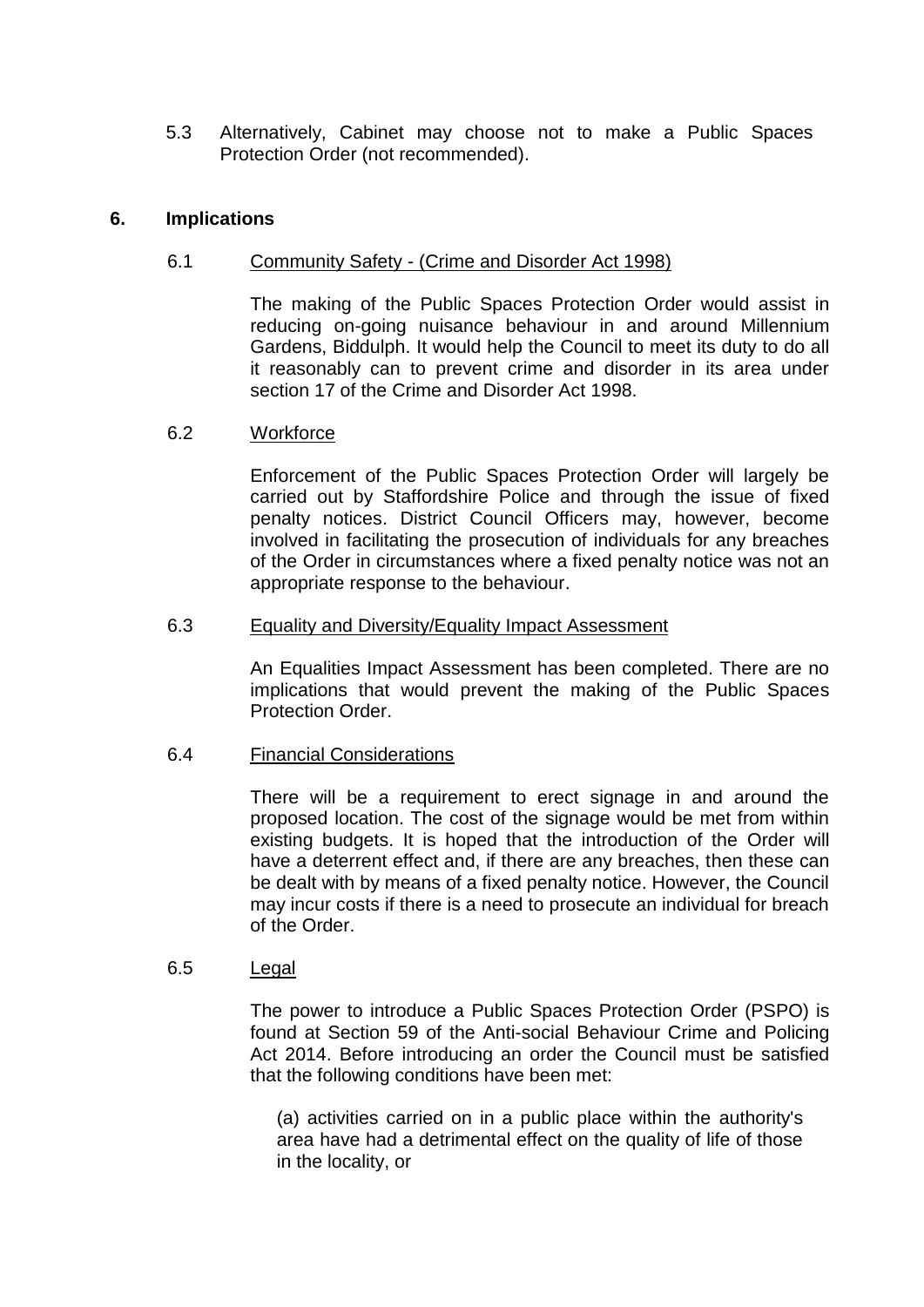5.3 Alternatively, Cabinet may choose not to make a Public Spaces Protection Order (not recommended).

#### **6. Implications**

#### 6.1 Community Safety - (Crime and Disorder Act 1998)

The making of the Public Spaces Protection Order would assist in reducing on-going nuisance behaviour in and around Millennium Gardens, Biddulph. It would help the Council to meet its duty to do all it reasonably can to prevent crime and disorder in its area under section 17 of the Crime and Disorder Act 1998.

#### 6.2 Workforce

Enforcement of the Public Spaces Protection Order will largely be carried out by Staffordshire Police and through the issue of fixed penalty notices. District Council Officers may, however, become involved in facilitating the prosecution of individuals for any breaches of the Order in circumstances where a fixed penalty notice was not an appropriate response to the behaviour.

#### 6.3 Equality and Diversity/Equality Impact Assessment

An Equalities Impact Assessment has been completed. There are no implications that would prevent the making of the Public Spaces Protection Order.

### 6.4 Financial Considerations

There will be a requirement to erect signage in and around the proposed location. The cost of the signage would be met from within existing budgets. It is hoped that the introduction of the Order will have a deterrent effect and, if there are any breaches, then these can be dealt with by means of a fixed penalty notice. However, the Council may incur costs if there is a need to prosecute an individual for breach of the Order.

#### 6.5 Legal

The power to introduce a Public Spaces Protection Order (PSPO) is found at Section 59 of the Anti-social Behaviour Crime and Policing Act 2014. Before introducing an order the Council must be satisfied that the following conditions have been met:

(a) activities carried on in a public place within the authority's area have had a detrimental effect on the quality of life of those in the locality, or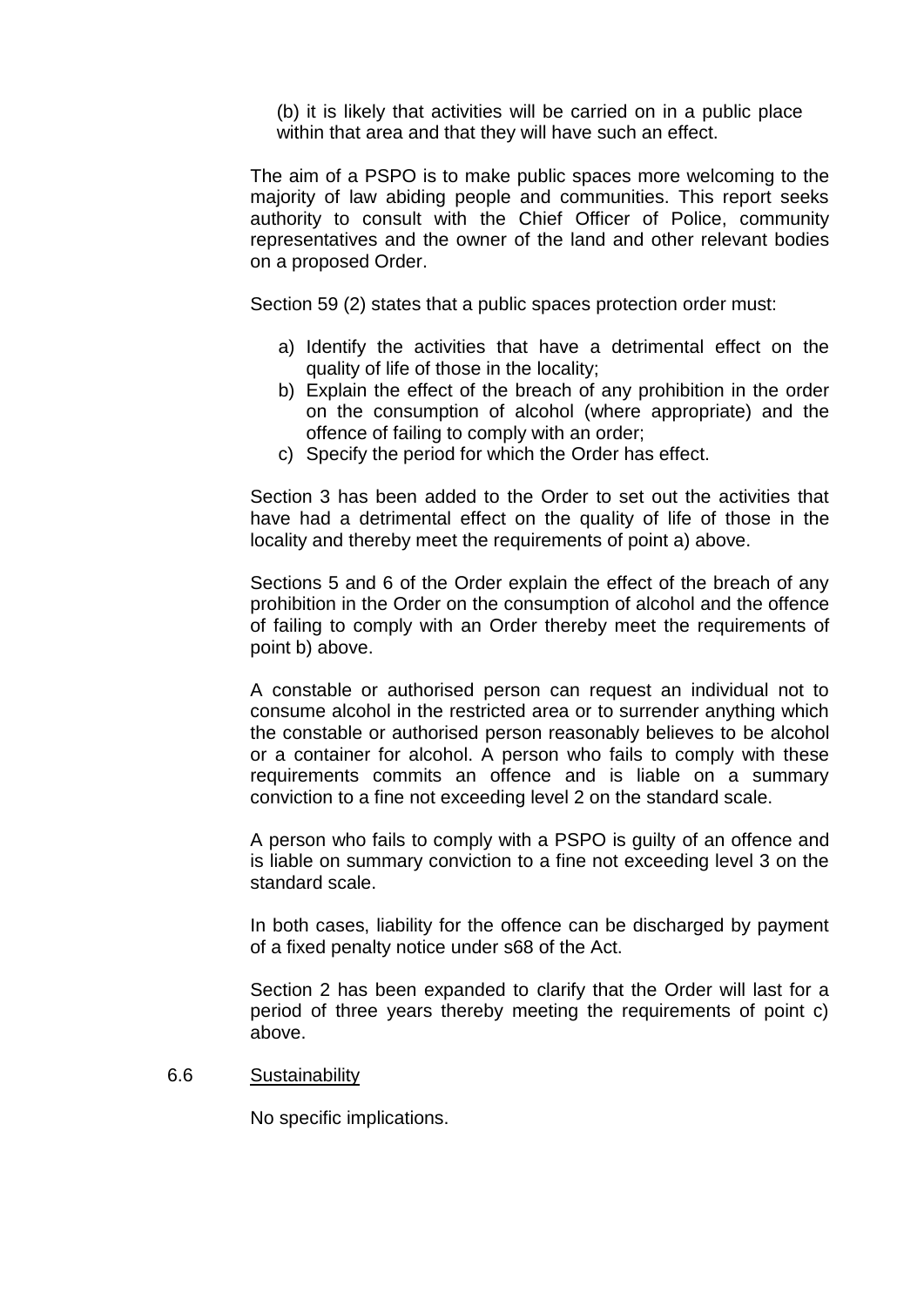(b) it is likely that activities will be carried on in a public place within that area and that they will have such an effect.

The aim of a PSPO is to make public spaces more welcoming to the majority of law abiding people and communities. This report seeks authority to consult with the Chief Officer of Police, community representatives and the owner of the land and other relevant bodies on a proposed Order.

Section 59 (2) states that a public spaces protection order must:

- a) Identify the activities that have a detrimental effect on the quality of life of those in the locality;
- b) Explain the effect of the breach of any prohibition in the order on the consumption of alcohol (where appropriate) and the offence of failing to comply with an order;
- c) Specify the period for which the Order has effect.

Section 3 has been added to the Order to set out the activities that have had a detrimental effect on the quality of life of those in the locality and thereby meet the requirements of point a) above.

Sections 5 and 6 of the Order explain the effect of the breach of any prohibition in the Order on the consumption of alcohol and the offence of failing to comply with an Order thereby meet the requirements of point b) above.

A constable or authorised person can request an individual not to consume alcohol in the restricted area or to surrender anything which the constable or authorised person reasonably believes to be alcohol or a container for alcohol. A person who fails to comply with these requirements commits an offence and is liable on a summary conviction to a fine not exceeding level 2 on the standard scale.

A person who fails to comply with a PSPO is guilty of an offence and is liable on summary conviction to a fine not exceeding level 3 on the standard scale.

In both cases, liability for the offence can be discharged by payment of a fixed penalty notice under s68 of the Act.

Section 2 has been expanded to clarify that the Order will last for a period of three years thereby meeting the requirements of point c) above.

6.6 Sustainability

No specific implications.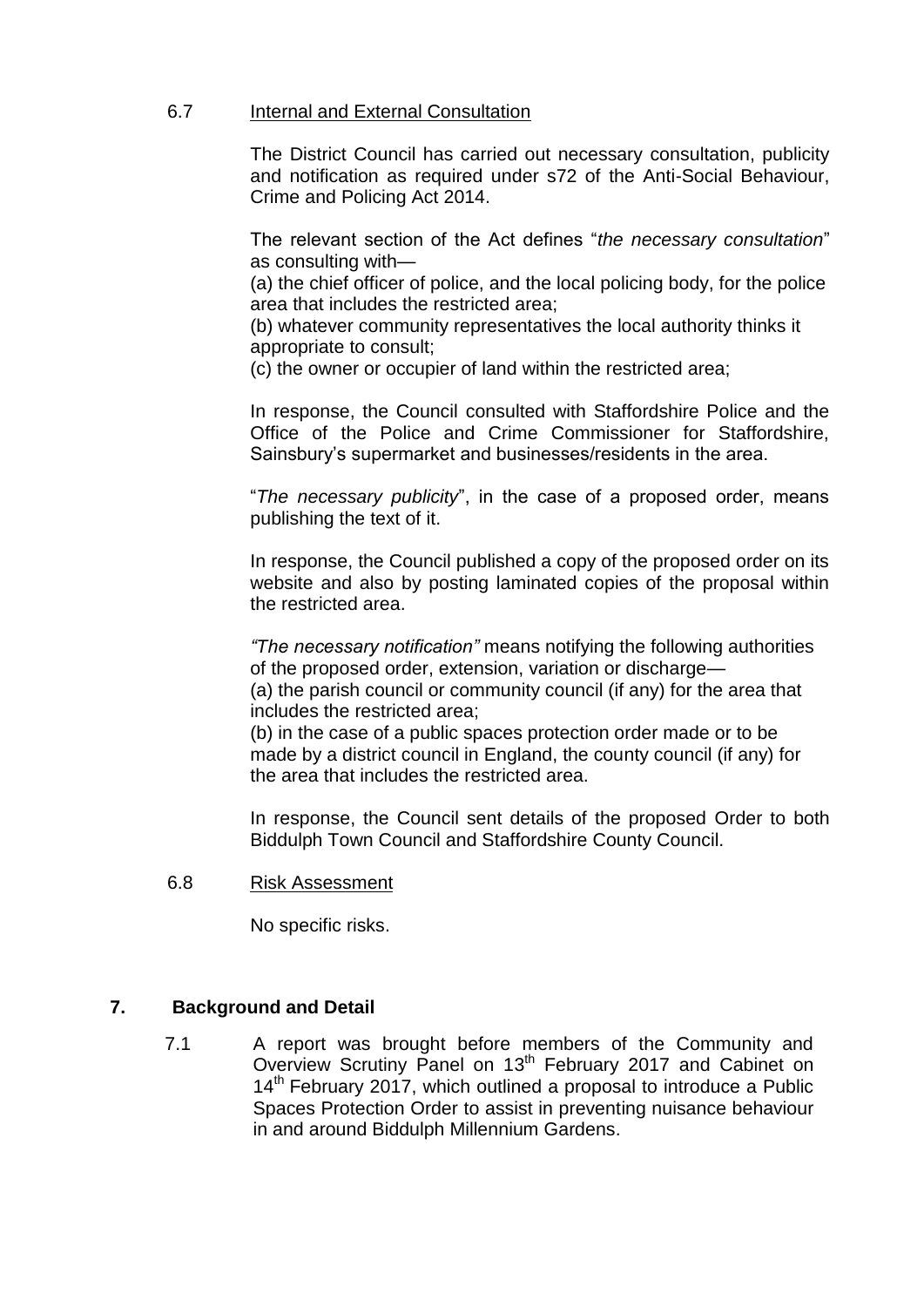#### 6.7 Internal and External Consultation

The District Council has carried out necessary consultation, publicity and notification as required under s72 of the Anti-Social Behaviour, Crime and Policing Act 2014.

The relevant section of the Act defines "*the necessary consultation*" as consulting with—

(a) the chief officer of police, and the local policing body, for the police area that includes the restricted area;

(b) whatever community representatives the local authority thinks it appropriate to consult;

(c) the owner or occupier of land within the restricted area;

In response, the Council consulted with Staffordshire Police and the Office of the Police and Crime Commissioner for Staffordshire, Sainsbury's supermarket and businesses/residents in the area.

"*The necessary publicity*", in the case of a proposed order, means publishing the text of it.

In response, the Council published a copy of the proposed order on its website and also by posting laminated copies of the proposal within the restricted area.

*"The necessary notification"* means notifying the following authorities of the proposed order, extension, variation or discharge— (a) the parish council or community council (if any) for the area that includes the restricted area;

(b) in the case of a public spaces protection order made or to be made by a district council in England, the county council (if any) for the area that includes the restricted area.

In response, the Council sent details of the proposed Order to both Biddulph Town Council and Staffordshire County Council.

6.8 Risk Assessment

No specific risks.

### **7. Background and Detail**

7.1 A report was brought before members of the Community and Overview Scrutiny Panel on 13<sup>th</sup> February 2017 and Cabinet on 14<sup>th</sup> February 2017, which outlined a proposal to introduce a Public Spaces Protection Order to assist in preventing nuisance behaviour in and around Biddulph Millennium Gardens.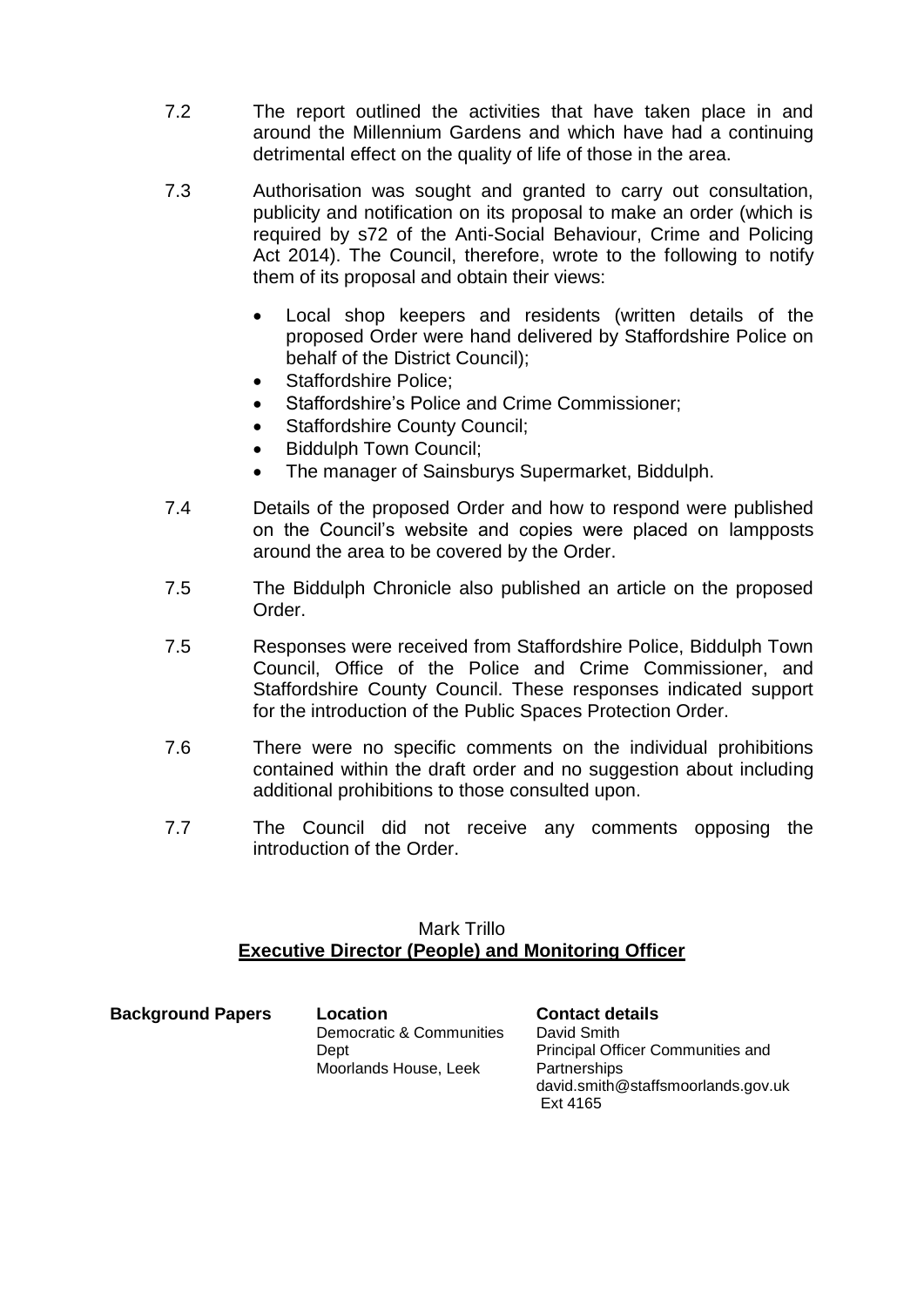- 7.2 The report outlined the activities that have taken place in and around the Millennium Gardens and which have had a continuing detrimental effect on the quality of life of those in the area.
- 7.3 Authorisation was sought and granted to carry out consultation, publicity and notification on its proposal to make an order (which is required by s72 of the Anti-Social Behaviour, Crime and Policing Act 2014). The Council, therefore, wrote to the following to notify them of its proposal and obtain their views:
	- Local shop keepers and residents (written details of the proposed Order were hand delivered by Staffordshire Police on behalf of the District Council);
	- Staffordshire Police;
	- Staffordshire's Police and Crime Commissioner;
	- Staffordshire County Council;
	- Biddulph Town Council;
	- The manager of Sainsburys Supermarket, Biddulph.
- 7.4 Details of the proposed Order and how to respond were published on the Council's website and copies were placed on lampposts around the area to be covered by the Order.
- 7.5 The Biddulph Chronicle also published an article on the proposed Order.
- 7.5 Responses were received from Staffordshire Police, Biddulph Town Council, Office of the Police and Crime Commissioner, and Staffordshire County Council. These responses indicated support for the introduction of the Public Spaces Protection Order.
- 7.6 There were no specific comments on the individual prohibitions contained within the draft order and no suggestion about including additional prohibitions to those consulted upon.
- 7.7 The Council did not receive any comments opposing the introduction of the Order.

#### Mark Trillo **Executive Director (People) and Monitoring Officer**

| <b>Background Papers</b> | Location                 | <b>Contact details</b>             |
|--------------------------|--------------------------|------------------------------------|
|                          | Democratic & Communities | David Smith                        |
|                          | Dept                     | Principal Officer Communities and  |
|                          | Moorlands House, Leek    | Partnerships                       |
|                          |                          | david.smith@staffsmoorlands.gov.uk |
|                          |                          | Fxt 4165                           |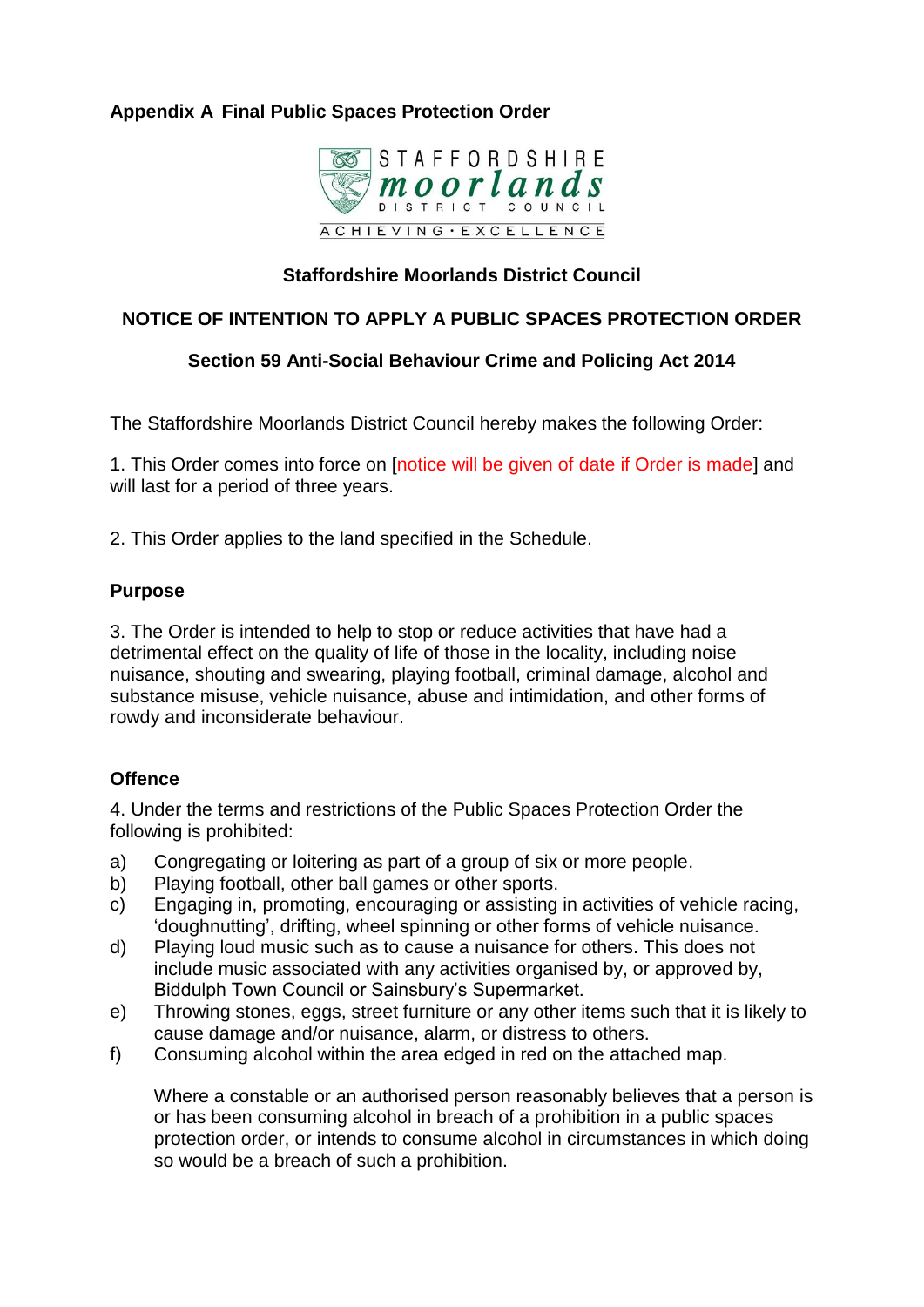## **Appendix A Final Public Spaces Protection Order**



## **Staffordshire Moorlands District Council**

## **NOTICE OF INTENTION TO APPLY A PUBLIC SPACES PROTECTION ORDER**

## **Section 59 Anti-Social Behaviour Crime and Policing Act 2014**

The Staffordshire Moorlands District Council hereby makes the following Order:

1. This Order comes into force on [notice will be given of date if Order is made] and will last for a period of three years.

2. This Order applies to the land specified in the Schedule.

### **Purpose**

3. The Order is intended to help to stop or reduce activities that have had a detrimental effect on the quality of life of those in the locality, including noise nuisance, shouting and swearing, playing football, criminal damage, alcohol and substance misuse, vehicle nuisance, abuse and intimidation, and other forms of rowdy and inconsiderate behaviour.

## **Offence**

4. Under the terms and restrictions of the Public Spaces Protection Order the following is prohibited:

- a) Congregating or loitering as part of a group of six or more people.
- b) Playing football, other ball games or other sports.
- c) Engaging in, promoting, encouraging or assisting in activities of vehicle racing, 'doughnutting', drifting, wheel spinning or other forms of vehicle nuisance.
- d) Playing loud music such as to cause a nuisance for others. This does not include music associated with any activities organised by, or approved by, Biddulph Town Council or Sainsbury's Supermarket.
- e) Throwing stones, eggs, street furniture or any other items such that it is likely to cause damage and/or nuisance, alarm, or distress to others.
- f) Consuming alcohol within the area edged in red on the attached map.

Where a constable or an authorised person reasonably believes that a person is or has been consuming alcohol in breach of a prohibition in a public spaces protection order, or intends to consume alcohol in circumstances in which doing so would be a breach of such a prohibition.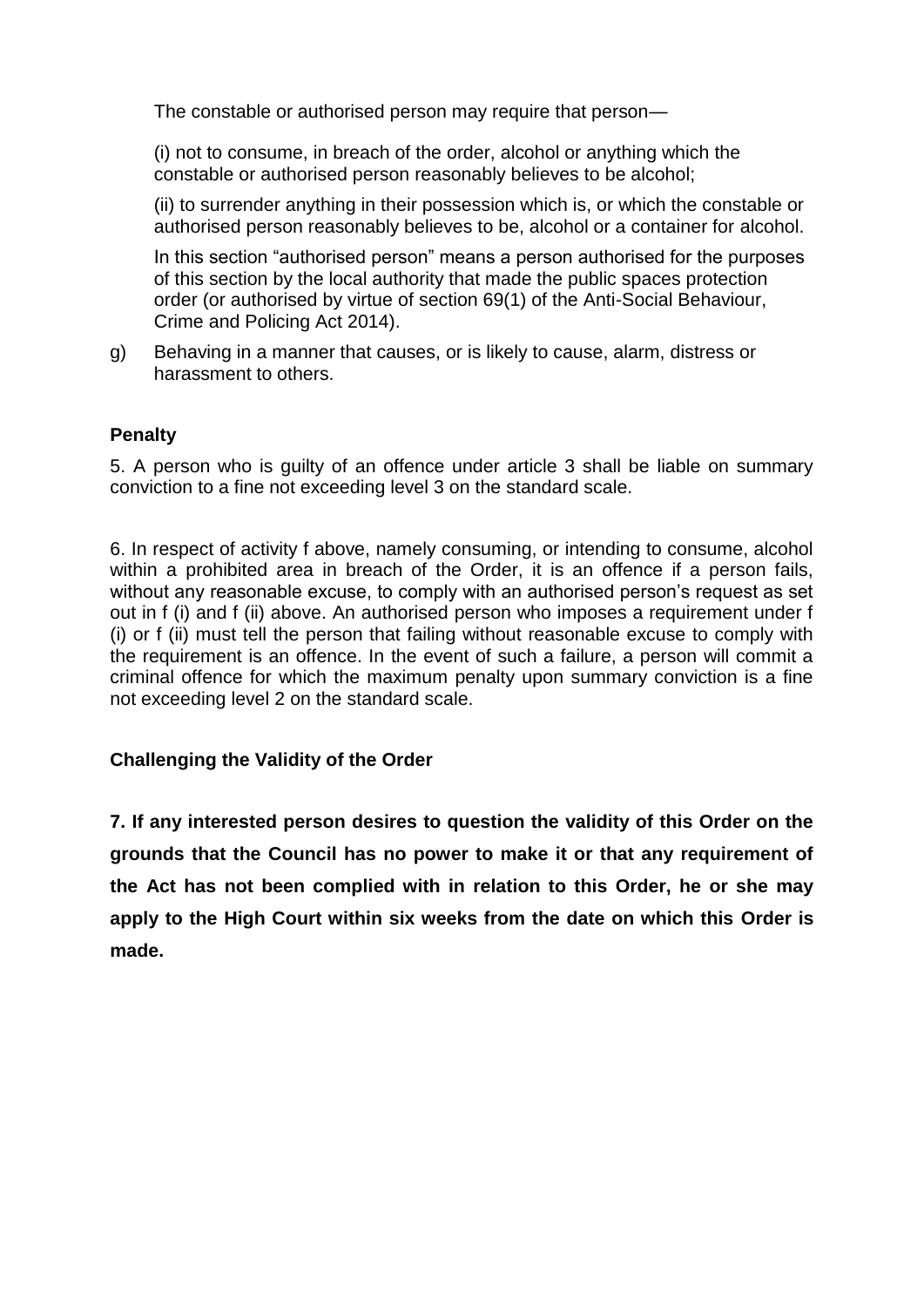The constable or authorised person may require that person—

(i) not to consume, in breach of the order, alcohol or anything which the constable or authorised person reasonably believes to be alcohol;

(ii) to surrender anything in their possession which is, or which the constable or authorised person reasonably believes to be, alcohol or a container for alcohol.

In this section "authorised person" means a person authorised for the purposes of this section by the local authority that made the public spaces protection order (or authorised by virtue of section 69(1) of the Anti-Social Behaviour, Crime and Policing Act 2014).

g) Behaving in a manner that causes, or is likely to cause, alarm, distress or harassment to others.

### **Penalty**

5. A person who is guilty of an offence under article 3 shall be liable on summary conviction to a fine not exceeding level 3 on the standard scale.

6. In respect of activity f above, namely consuming, or intending to consume, alcohol within a prohibited area in breach of the Order, it is an offence if a person fails, without any reasonable excuse, to comply with an authorised person's request as set out in f (i) and f (ii) above. An authorised person who imposes a requirement under f (i) or f (ii) must tell the person that failing without reasonable excuse to comply with the requirement is an offence. In the event of such a failure, a person will commit a criminal offence for which the maximum penalty upon summary conviction is a fine not exceeding level 2 on the standard scale.

## **Challenging the Validity of the Order**

**7. If any interested person desires to question the validity of this Order on the grounds that the Council has no power to make it or that any requirement of the Act has not been complied with in relation to this Order, he or she may apply to the High Court within six weeks from the date on which this Order is made.**